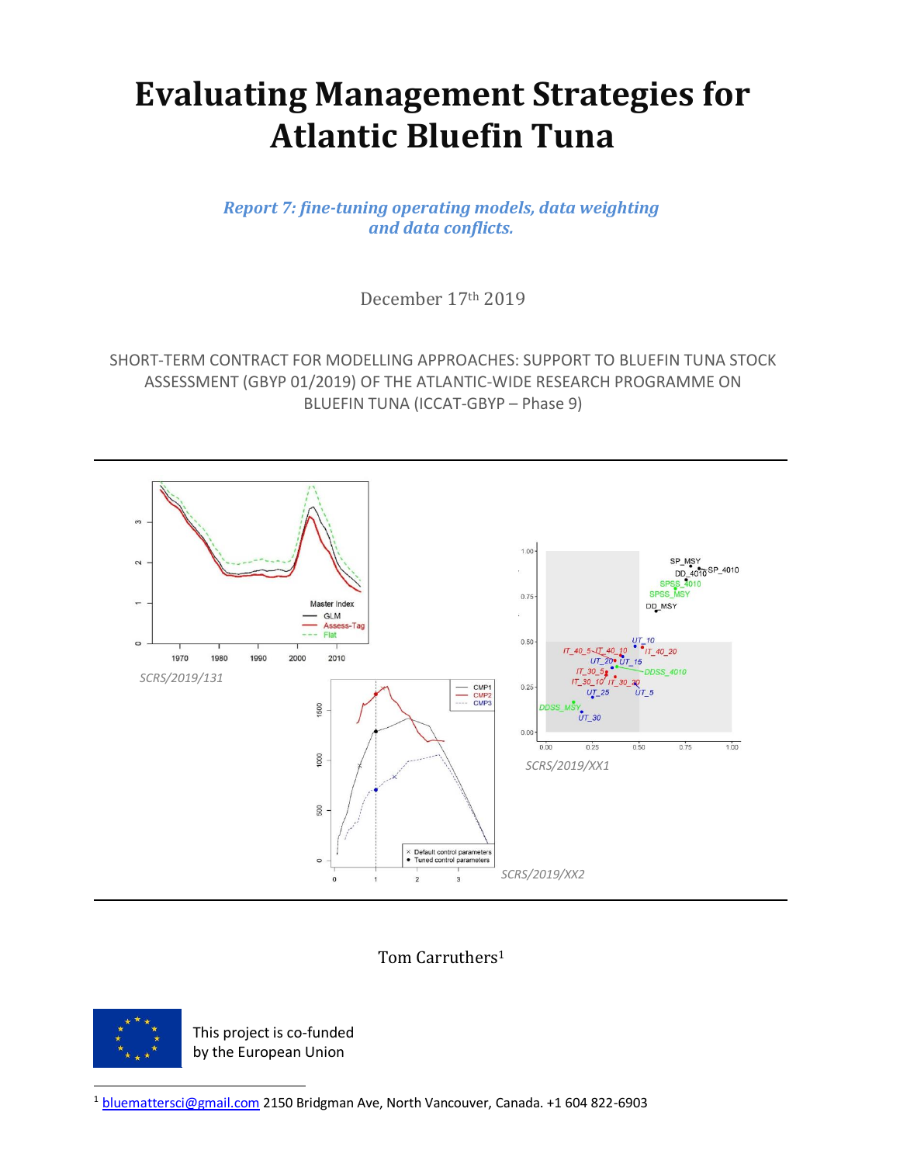# **Evaluating Management Strategies for Atlantic Bluefin Tuna**

*Report 7: fine-tuning operating models, data weighting and data conflicts.*

December 17th 2019

SHORT-TERM CONTRACT FOR MODELLING APPROACHES: SUPPORT TO BLUEFIN TUNA STOCK ASSESSMENT (GBYP 01/2019) OF THE ATLANTIC-WIDE RESEARCH PROGRAMME ON BLUEFIN TUNA (ICCAT-GBYP – Phase 9)



Tom Carruthers<sup>1</sup>



This project is co-funded by the European Union

<sup>1</sup> [bluemattersci@gmail.com](mailto:bluemattersci@gmail.com) 2150 Bridgman Ave, North Vancouver, Canada. +1 604 822-6903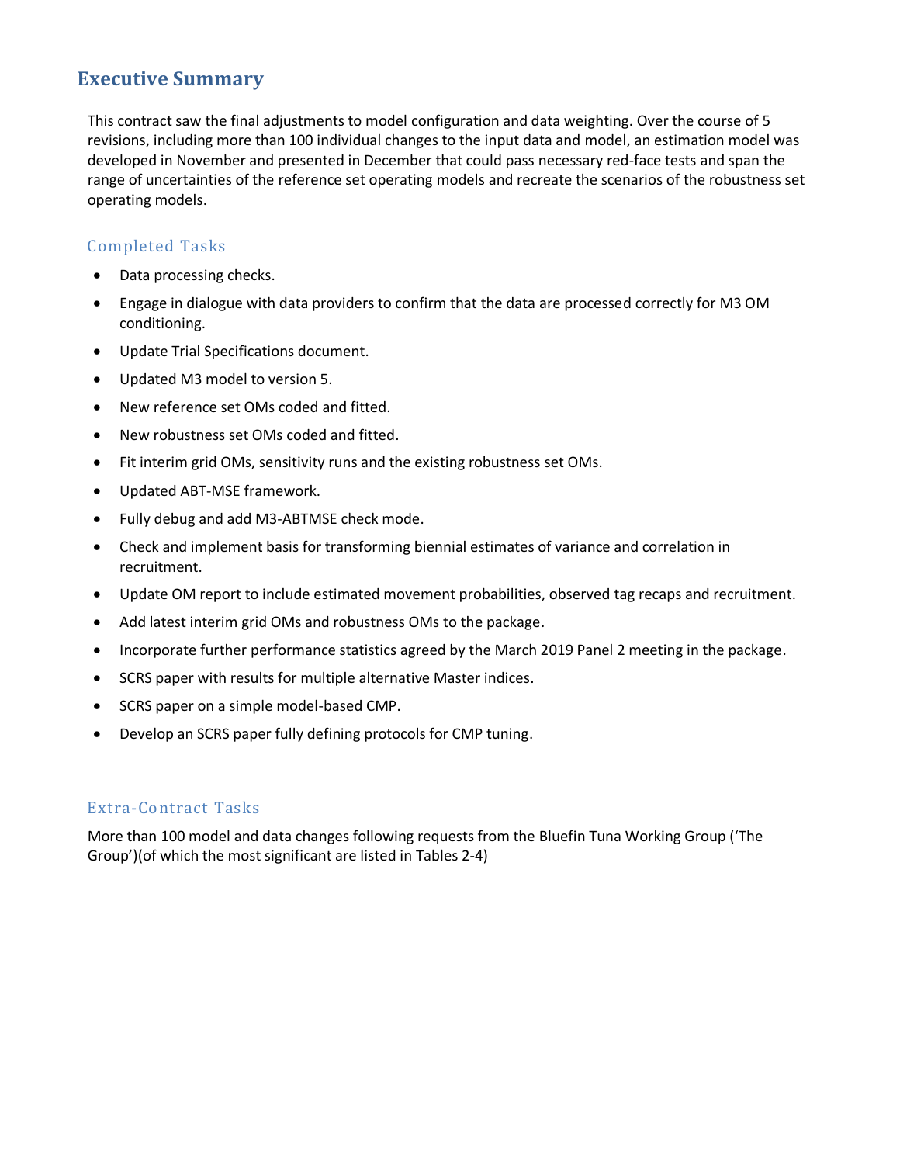# **Executive Summary**

This contract saw the final adjustments to model configuration and data weighting. Over the course of 5 revisions, including more than 100 individual changes to the input data and model, an estimation model was developed in November and presented in December that could pass necessary red-face tests and span the range of uncertainties of the reference set operating models and recreate the scenarios of the robustness set operating models.

## Completed Tasks

- Data processing checks.
- Engage in dialogue with data providers to confirm that the data are processed correctly for M3 OM conditioning.
- Update Trial Specifications document.
- Updated M3 model to version 5.
- New reference set OMs coded and fitted.
- New robustness set OMs coded and fitted.
- Fit interim grid OMs, sensitivity runs and the existing robustness set OMs.
- Updated ABT-MSE framework.
- Fully debug and add M3-ABTMSE check mode.
- Check and implement basis for transforming biennial estimates of variance and correlation in recruitment.
- Update OM report to include estimated movement probabilities, observed tag recaps and recruitment.
- Add latest interim grid OMs and robustness OMs to the package.
- Incorporate further performance statistics agreed by the March 2019 Panel 2 meeting in the package.
- SCRS paper with results for multiple alternative Master indices.
- SCRS paper on a simple model-based CMP.
- Develop an SCRS paper fully defining protocols for CMP tuning.

#### Extra-Contract Tasks

More than 100 model and data changes following requests from the Bluefin Tuna Working Group ('The Group')(of which the most significant are listed in Tables 2-4)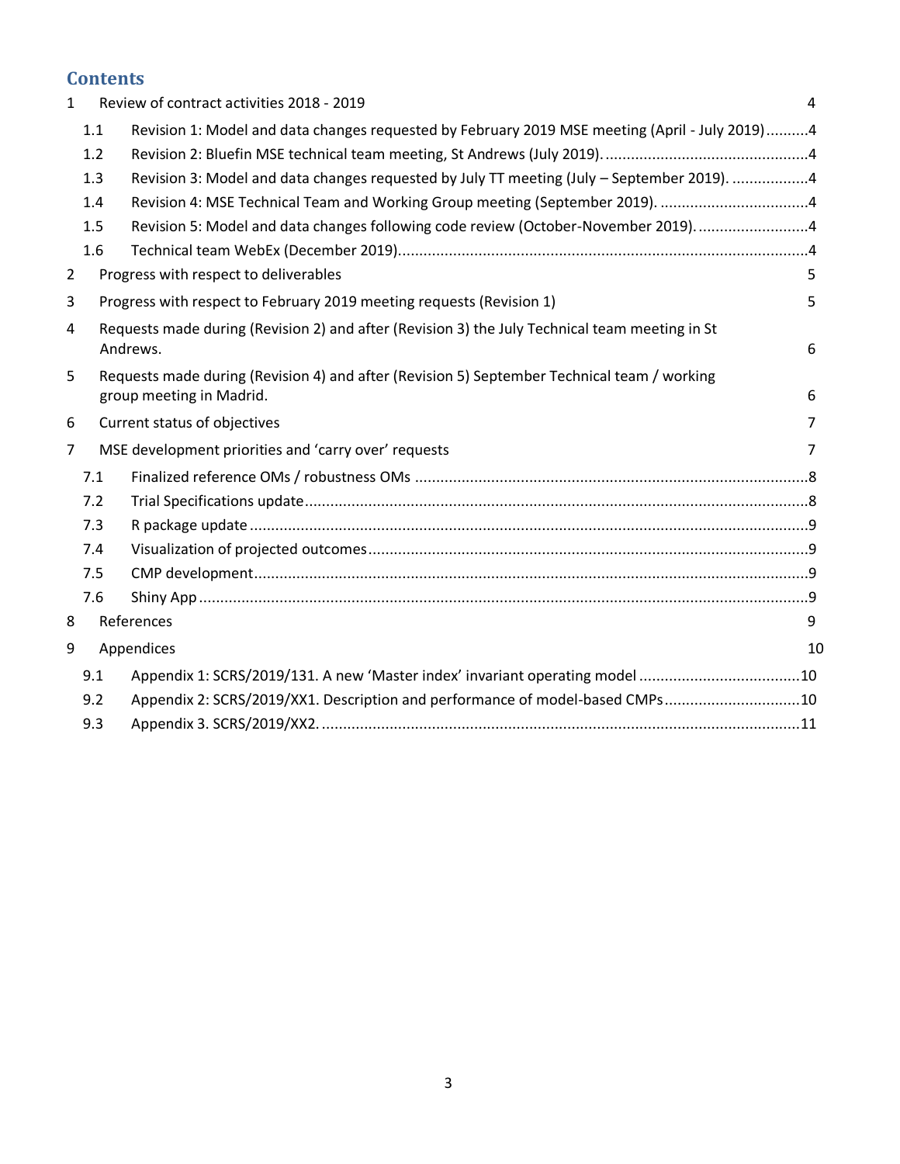# **Contents**

| Review of contract activities 2018 - 2019<br>$\mathbf{1}$ |     |                                                                                                 | 4              |
|-----------------------------------------------------------|-----|-------------------------------------------------------------------------------------------------|----------------|
|                                                           | 1.1 | Revision 1: Model and data changes requested by February 2019 MSE meeting (April - July 2019) 4 |                |
|                                                           | 1.2 |                                                                                                 |                |
|                                                           | 1.3 | Revision 3: Model and data changes requested by July TT meeting (July - September 2019). 4      |                |
|                                                           | 1.4 | Revision 4: MSE Technical Team and Working Group meeting (September 2019). 4                    |                |
|                                                           | 1.5 | Revision 5: Model and data changes following code review (October-November 2019)4               |                |
|                                                           | 1.6 |                                                                                                 |                |
| $\overline{2}$                                            |     | Progress with respect to deliverables                                                           | 5              |
| 3                                                         |     | Progress with respect to February 2019 meeting requests (Revision 1)                            | 5              |
| 4                                                         |     | Requests made during (Revision 2) and after (Revision 3) the July Technical team meeting in St  |                |
|                                                           |     | Andrews.                                                                                        | 6              |
| 5                                                         |     | Requests made during (Revision 4) and after (Revision 5) September Technical team / working     |                |
|                                                           |     | group meeting in Madrid.                                                                        | 6              |
| 6                                                         |     | Current status of objectives                                                                    | 7              |
| $\overline{7}$                                            |     | MSE development priorities and 'carry over' requests                                            | $\overline{7}$ |
|                                                           | 7.1 |                                                                                                 |                |
|                                                           | 7.2 |                                                                                                 |                |
|                                                           | 7.3 |                                                                                                 |                |
|                                                           | 7.4 |                                                                                                 |                |
|                                                           | 7.5 |                                                                                                 |                |
|                                                           | 7.6 |                                                                                                 |                |
| 8                                                         |     | References                                                                                      | 9              |
| 9                                                         |     | Appendices                                                                                      |                |
|                                                           | 9.1 | Appendix 1: SCRS/2019/131. A new 'Master index' invariant operating model 10                    |                |
|                                                           | 9.2 | Appendix 2: SCRS/2019/XX1. Description and performance of model-based CMPs10                    |                |
|                                                           | 9.3 |                                                                                                 |                |
|                                                           |     |                                                                                                 |                |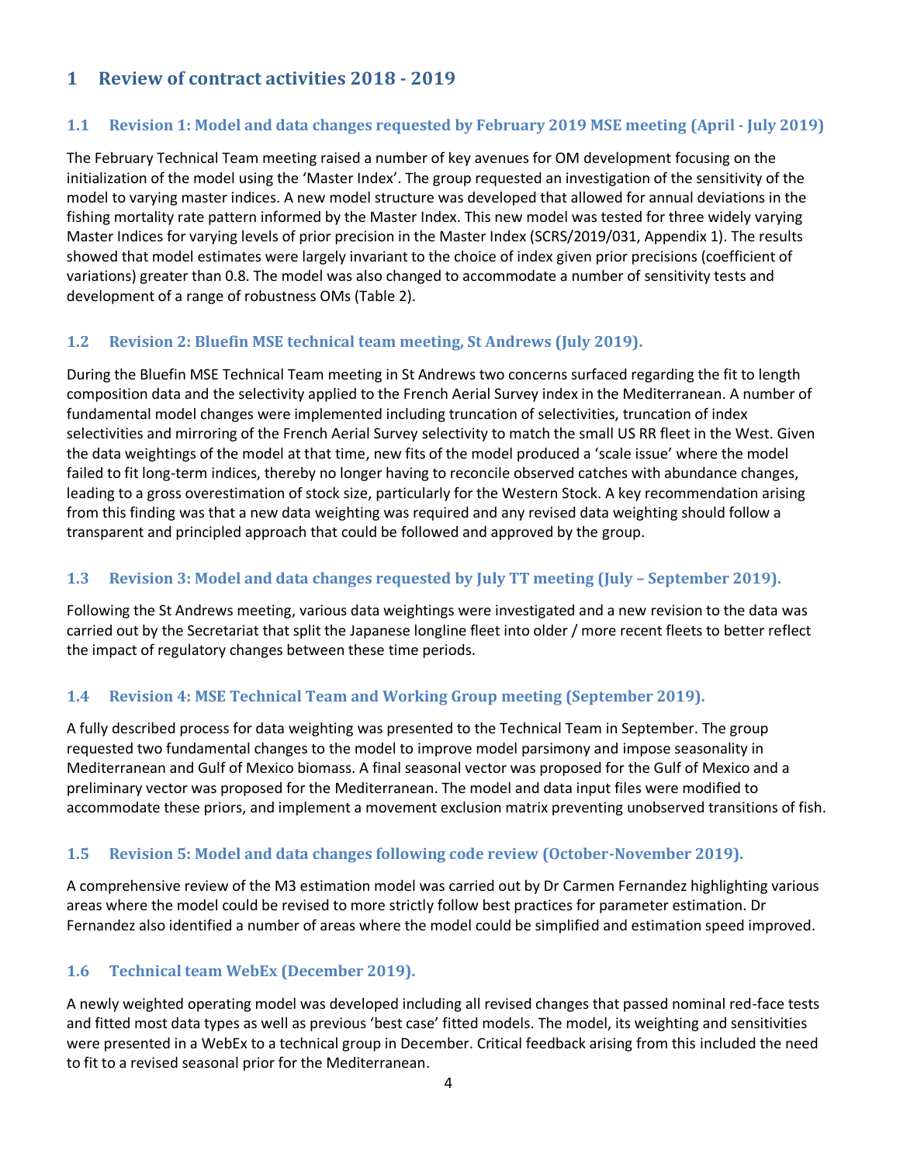# <span id="page-3-1"></span><span id="page-3-0"></span>**1 Review of contract activities 2018 - 2019**

#### **1.1 Revision 1: Model and data changes requested by February 2019 MSE meeting (April - July 2019)**

The February Technical Team meeting raised a number of key avenues for OM development focusing on the initialization of the model using the 'Master Index'. The group requested an investigation of the sensitivity of the model to varying master indices. A new model structure was developed that allowed for annual deviations in the fishing mortality rate pattern informed by the Master Index. This new model was tested for three widely varying Master Indices for varying levels of prior precision in the Master Index (SCRS/2019/031, Appendix 1). The results showed that model estimates were largely invariant to the choice of index given prior precisions (coefficient of variations) greater than 0.8. The model was also changed to accommodate a number of sensitivity tests and development of a range of robustness OMs (Table 2).

#### <span id="page-3-2"></span>**1.2 Revision 2: Bluefin MSE technical team meeting, St Andrews (July 2019).**

During the Bluefin MSE Technical Team meeting in St Andrews two concerns surfaced regarding the fit to length composition data and the selectivity applied to the French Aerial Survey index in the Mediterranean. A number of fundamental model changes were implemented including truncation of selectivities, truncation of index selectivities and mirroring of the French Aerial Survey selectivity to match the small US RR fleet in the West. Given the data weightings of the model at that time, new fits of the model produced a 'scale issue' where the model failed to fit long-term indices, thereby no longer having to reconcile observed catches with abundance changes, leading to a gross overestimation of stock size, particularly for the Western Stock. A key recommendation arising from this finding was that a new data weighting was required and any revised data weighting should follow a transparent and principled approach that could be followed and approved by the group.

#### <span id="page-3-3"></span>**1.3 Revision 3: Model and data changes requested by July TT meeting (July – September 2019).**

Following the St Andrews meeting, various data weightings were investigated and a new revision to the data was carried out by the Secretariat that split the Japanese longline fleet into older / more recent fleets to better reflect the impact of regulatory changes between these time periods.

#### <span id="page-3-4"></span>**1.4 Revision 4: MSE Technical Team and Working Group meeting (September 2019).**

A fully described process for data weighting was presented to the Technical Team in September. The group requested two fundamental changes to the model to improve model parsimony and impose seasonality in Mediterranean and Gulf of Mexico biomass. A final seasonal vector was proposed for the Gulf of Mexico and a preliminary vector was proposed for the Mediterranean. The model and data input files were modified to accommodate these priors, and implement a movement exclusion matrix preventing unobserved transitions of fish.

## <span id="page-3-5"></span>**1.5 Revision 5: Model and data changes following code review (October-November 2019).**

A comprehensive review of the M3 estimation model was carried out by Dr Carmen Fernandez highlighting various areas where the model could be revised to more strictly follow best practices for parameter estimation. Dr Fernandez also identified a number of areas where the model could be simplified and estimation speed improved.

## <span id="page-3-6"></span>**1.6 Technical team WebEx (December 2019).**

A newly weighted operating model was developed including all revised changes that passed nominal red-face tests and fitted most data types as well as previous 'best case' fitted models. The model, its weighting and sensitivities were presented in a WebEx to a technical group in December. Critical feedback arising from this included the need to fit to a revised seasonal prior for the Mediterranean.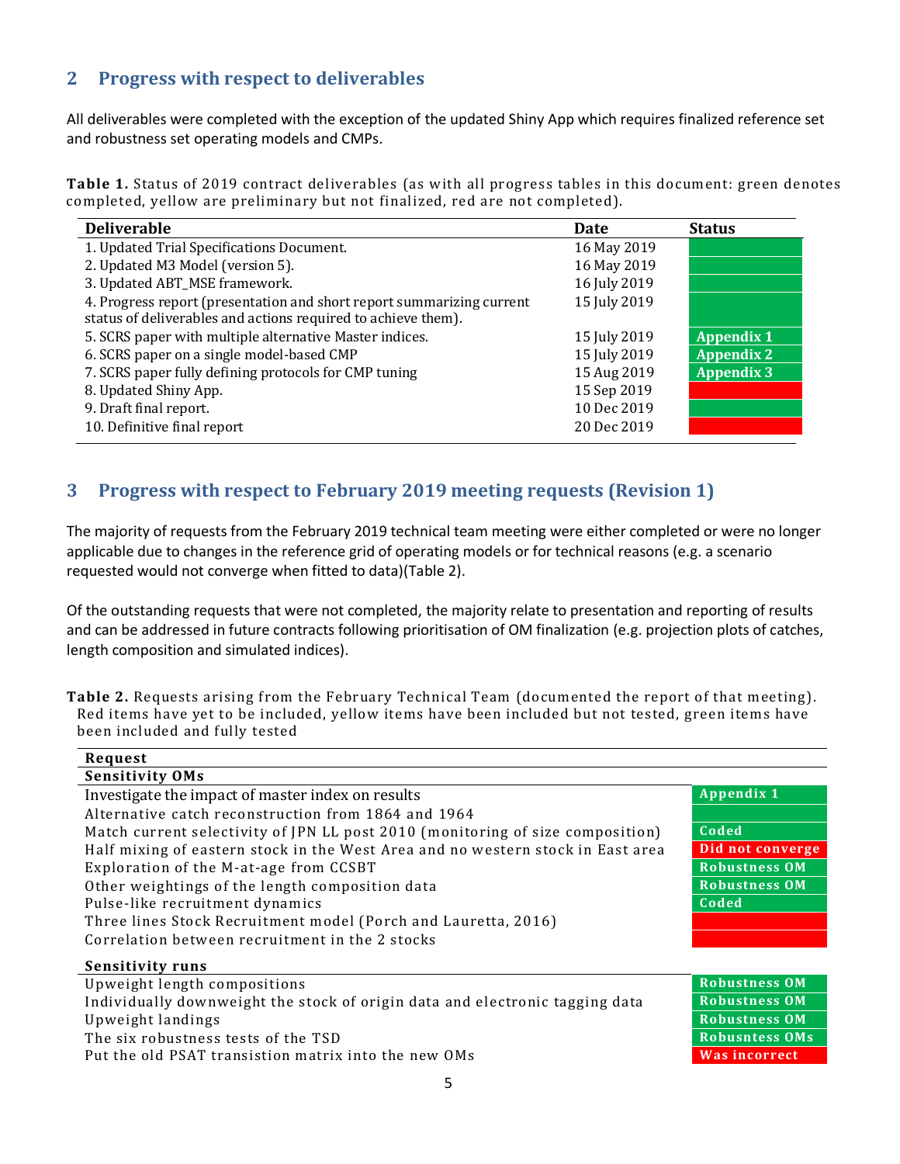# <span id="page-4-0"></span>**2 Progress with respect to deliverables**

All deliverables were completed with the exception of the updated Shiny App which requires finalized reference set and robustness set operating models and CMPs.

**Table 1.** Status of 2019 contract deliverables (as with all progress tables in this document: green denotes completed, yellow are preliminary but not finalized, red are not completed).

| <b>Deliverable</b>                                                    | Date         | <b>Status</b>     |
|-----------------------------------------------------------------------|--------------|-------------------|
| 1. Updated Trial Specifications Document.                             | 16 May 2019  |                   |
| 2. Updated M3 Model (version 5).                                      | 16 May 2019  |                   |
| 3. Updated ABT_MSE framework.                                         | 16 July 2019 |                   |
| 4. Progress report (presentation and short report summarizing current | 15 July 2019 |                   |
| status of deliverables and actions required to achieve them).         |              |                   |
| 5. SCRS paper with multiple alternative Master indices.               | 15 July 2019 | <b>Appendix 1</b> |
| 6. SCRS paper on a single model-based CMP                             | 15 July 2019 | <b>Appendix 2</b> |
| 7. SCRS paper fully defining protocols for CMP tuning                 | 15 Aug 2019  | <b>Appendix 3</b> |
| 8. Updated Shiny App.                                                 | 15 Sep 2019  |                   |
| 9. Draft final report.                                                | 10 Dec 2019  |                   |
| 10. Definitive final report                                           | 20 Dec 2019  |                   |

# <span id="page-4-1"></span>**3 Progress with respect to February 2019 meeting requests (Revision 1)**

The majority of requests from the February 2019 technical team meeting were either completed or were no longer applicable due to changes in the reference grid of operating models or for technical reasons (e.g. a scenario requested would not converge when fitted to data)(Table 2).

Of the outstanding requests that were not completed, the majority relate to presentation and reporting of results and can be addressed in future contracts following prioritisation of OM finalization (e.g. projection plots of catches, length composition and simulated indices).

**Table 2.** Requests arising from the February Technical Team (documented the report of that meeting). Red items have yet to be included, yellow items have been included but not tested, green items have been included and fully tested

| Request                                                                         |                       |  |  |
|---------------------------------------------------------------------------------|-----------------------|--|--|
| <b>Sensitivity OMs</b>                                                          |                       |  |  |
| Investigate the impact of master index on results                               | <b>Appendix 1</b>     |  |  |
| Alternative catch reconstruction from 1864 and 1964                             |                       |  |  |
| Match current selectivity of JPN LL post 2010 (monitoring of size composition)  | Coded                 |  |  |
| Half mixing of eastern stock in the West Area and no western stock in East area | Did not converge      |  |  |
| Exploration of the M-at-age from CCSBT                                          | <b>Robustness OM</b>  |  |  |
| Other weightings of the length composition data                                 | <b>Robustness OM</b>  |  |  |
| Pulse-like recruitment dynamics                                                 | Coded                 |  |  |
| Three lines Stock Recruitment model (Porch and Lauretta, 2016)                  |                       |  |  |
| Correlation between recruitment in the 2 stocks                                 |                       |  |  |
| <b>Sensitivity runs</b>                                                         |                       |  |  |
| Upweight length compositions                                                    | <b>Robustness OM</b>  |  |  |
| Individually downweight the stock of origin data and electronic tagging data    | <b>Robustness OM</b>  |  |  |
| Upweight landings                                                               | <b>Robustness OM</b>  |  |  |
| The six robustness tests of the TSD                                             | <b>Robusntess OMs</b> |  |  |
| Put the old PSAT transistion matrix into the new OMs                            | <b>Was incorrect</b>  |  |  |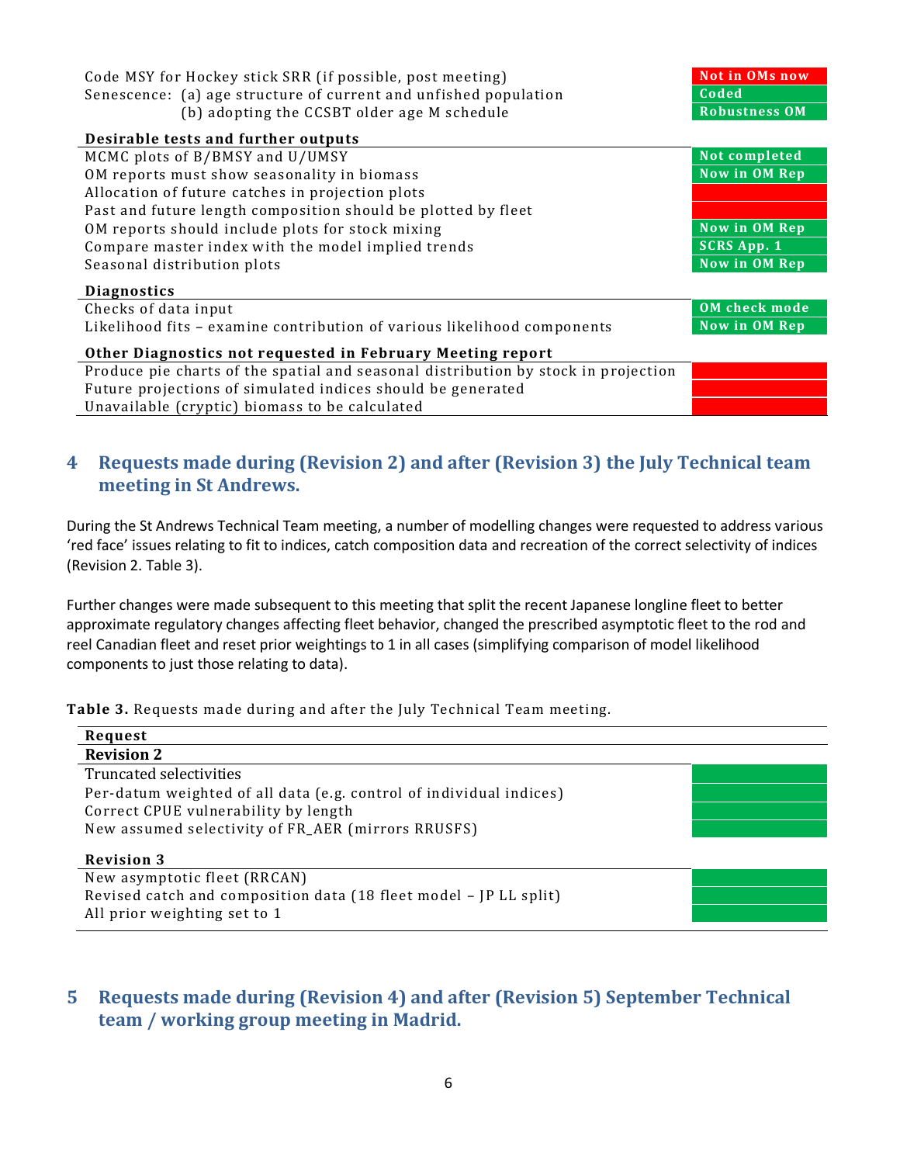| Code MSY for Hockey stick SRR (if possible, post meeting)<br>Senescence: (a) age structure of current and unfished population<br>(b) adopting the CCSBT older age M schedule | <b>Not in OMs now</b><br>Coded<br><b>Robustness OM</b> |  |  |
|------------------------------------------------------------------------------------------------------------------------------------------------------------------------------|--------------------------------------------------------|--|--|
| Desirable tests and further outputs                                                                                                                                          |                                                        |  |  |
| MCMC plots of B/BMSY and U/UMSY                                                                                                                                              | Not completed                                          |  |  |
| OM reports must show seasonality in biomass                                                                                                                                  | Now in OM Rep                                          |  |  |
| Allocation of future catches in projection plots                                                                                                                             |                                                        |  |  |
| Past and future length composition should be plotted by fleet                                                                                                                |                                                        |  |  |
| OM reports should include plots for stock mixing                                                                                                                             | Now in OM Rep                                          |  |  |
| Compare master index with the model implied trends                                                                                                                           | <b>SCRS App. 1</b>                                     |  |  |
| Seasonal distribution plots                                                                                                                                                  | Now in OM Rep                                          |  |  |
| <b>Diagnostics</b>                                                                                                                                                           |                                                        |  |  |
| Checks of data input                                                                                                                                                         | <b>OM</b> check mode                                   |  |  |
| Likelihood fits - examine contribution of various likelihood components                                                                                                      | Now in OM Rep                                          |  |  |
| Other Diagnostics not requested in February Meeting report                                                                                                                   |                                                        |  |  |
| Produce pie charts of the spatial and seasonal distribution by stock in projection                                                                                           |                                                        |  |  |
| Future projections of simulated indices should be generated                                                                                                                  |                                                        |  |  |
| Unavailable (cryptic) biomass to be calculated                                                                                                                               |                                                        |  |  |

# <span id="page-5-0"></span>**4 Requests made during (Revision 2) and after (Revision 3) the July Technical team meeting in St Andrews.**

During the St Andrews Technical Team meeting, a number of modelling changes were requested to address various 'red face' issues relating to fit to indices, catch composition data and recreation of the correct selectivity of indices (Revision 2. Table 3).

Further changes were made subsequent to this meeting that split the recent Japanese longline fleet to better approximate regulatory changes affecting fleet behavior, changed the prescribed asymptotic fleet to the rod and reel Canadian fleet and reset prior weightings to 1 in all cases (simplifying comparison of model likelihood components to just those relating to data).

**Table 3.** Requests made during and after the July Technical Team meeting.

| Request                                                             |  |  |  |
|---------------------------------------------------------------------|--|--|--|
| <b>Revision 2</b>                                                   |  |  |  |
| Truncated selectivities                                             |  |  |  |
| Per-datum weighted of all data (e.g. control of individual indices) |  |  |  |
| Correct CPUE vulnerability by length                                |  |  |  |
| New assumed selectivity of FR_AER (mirrors RRUSFS)                  |  |  |  |
| <b>Revision 3</b>                                                   |  |  |  |
| New asymptotic fleet (RRCAN)                                        |  |  |  |
| Revised catch and composition data (18 fleet model - JP LL split)   |  |  |  |
| All prior weighting set to 1                                        |  |  |  |

# <span id="page-5-1"></span>**5 Requests made during (Revision 4) and after (Revision 5) September Technical team / working group meeting in Madrid.**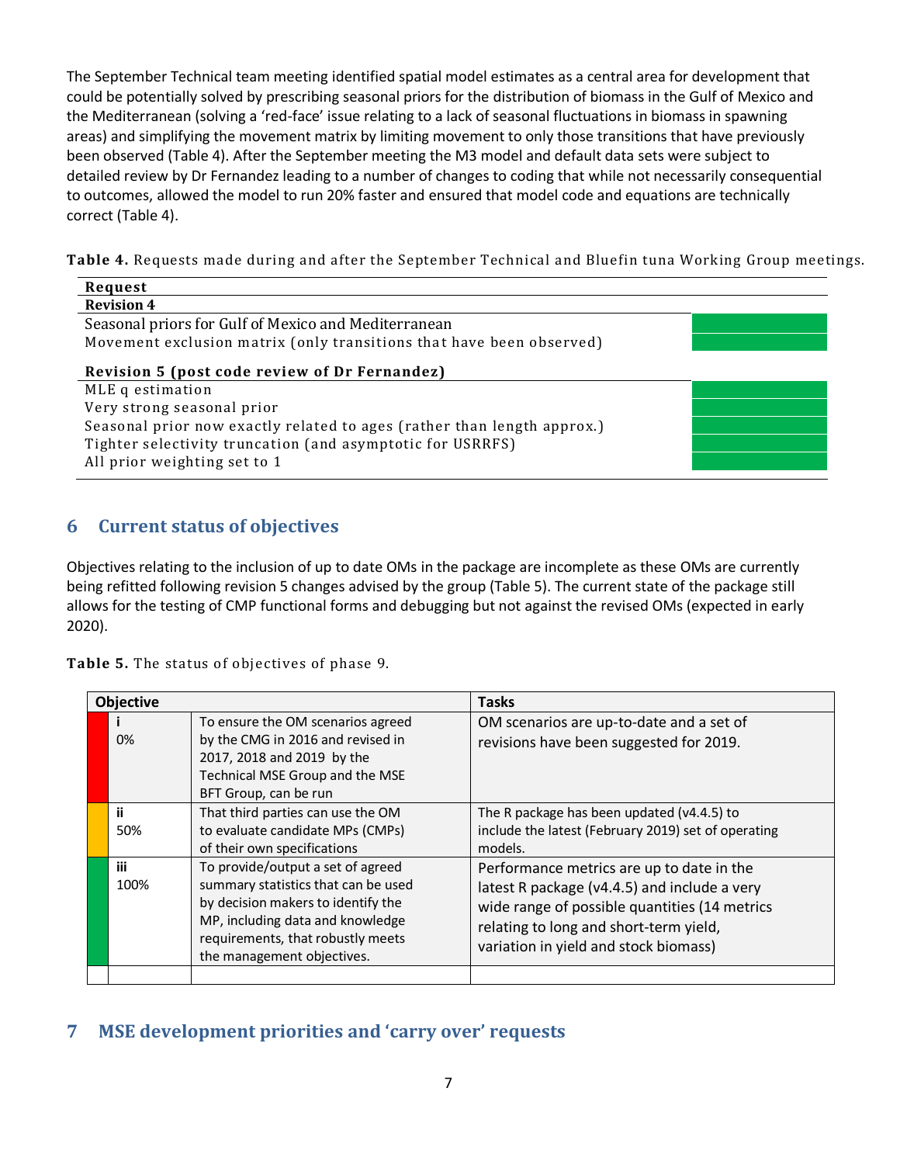The September Technical team meeting identified spatial model estimates as a central area for development that could be potentially solved by prescribing seasonal priors for the distribution of biomass in the Gulf of Mexico and the Mediterranean (solving a 'red-face' issue relating to a lack of seasonal fluctuations in biomass in spawning areas) and simplifying the movement matrix by limiting movement to only those transitions that have previously been observed (Table 4). After the September meeting the M3 model and default data sets were subject to detailed review by Dr Fernandez leading to a number of changes to coding that while not necessarily consequential to outcomes, allowed the model to run 20% faster and ensured that model code and equations are technically correct (Table 4).

**Table 4.** Requests made during and after the September Technical and Bluefin tuna Working Group meetings.

| Request                                                                                                                                                                                                                                  |  |  |  |
|------------------------------------------------------------------------------------------------------------------------------------------------------------------------------------------------------------------------------------------|--|--|--|
| <b>Revision 4</b>                                                                                                                                                                                                                        |  |  |  |
| Seasonal priors for Gulf of Mexico and Mediterranean                                                                                                                                                                                     |  |  |  |
| Movement exclusion matrix (only transitions that have been observed)                                                                                                                                                                     |  |  |  |
| Revision 5 (post code review of Dr Fernandez)<br>MLE q estimation<br>Very strong seasonal prior<br>Seasonal prior now exactly related to ages (rather than length approx.)<br>Tighter selectivity truncation (and asymptotic for USRRFS) |  |  |  |
| All prior weighting set to 1                                                                                                                                                                                                             |  |  |  |

# <span id="page-6-0"></span>**6 Current status of objectives**

Objectives relating to the inclusion of up to date OMs in the package are incomplete as these OMs are currently being refitted following revision 5 changes advised by the group (Table 5). The current state of the package still allows for the testing of CMP functional forms and debugging but not against the revised OMs (expected in early 2020).

**Table 5.** The status of objectives of phase 9.

| <b>Objective</b> |                                                                                                                                                                                                                       | <b>Tasks</b>                                                                                                                                                                                                                  |
|------------------|-----------------------------------------------------------------------------------------------------------------------------------------------------------------------------------------------------------------------|-------------------------------------------------------------------------------------------------------------------------------------------------------------------------------------------------------------------------------|
| 0%               | To ensure the OM scenarios agreed<br>by the CMG in 2016 and revised in<br>2017, 2018 and 2019 by the<br>Technical MSE Group and the MSE<br>BFT Group, can be run                                                      | OM scenarios are up-to-date and a set of<br>revisions have been suggested for 2019.                                                                                                                                           |
| ii.<br>50%       | That third parties can use the OM<br>to evaluate candidate MPs (CMPs)<br>of their own specifications                                                                                                                  | The R package has been updated (v4.4.5) to<br>include the latest (February 2019) set of operating<br>models.                                                                                                                  |
| iii<br>100%      | To provide/output a set of agreed<br>summary statistics that can be used<br>by decision makers to identify the<br>MP, including data and knowledge<br>requirements, that robustly meets<br>the management objectives. | Performance metrics are up to date in the<br>latest R package (v4.4.5) and include a very<br>wide range of possible quantities (14 metrics<br>relating to long and short-term yield,<br>variation in yield and stock biomass) |
|                  |                                                                                                                                                                                                                       |                                                                                                                                                                                                                               |

# <span id="page-6-1"></span>**7 MSE development priorities and 'carry over' requests**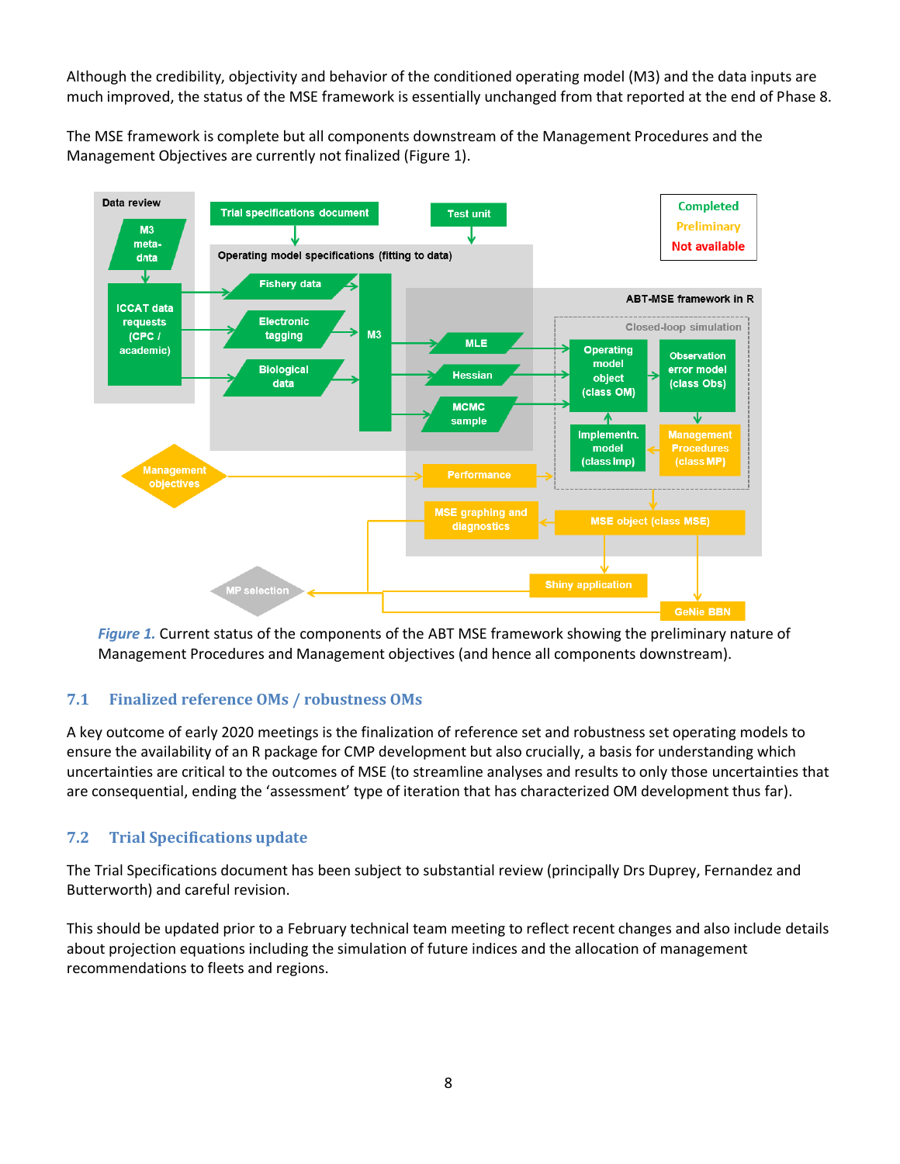Although the credibility, objectivity and behavior of the conditioned operating model (M3) and the data inputs are much improved, the status of the MSE framework is essentially unchanged from that reported at the end of Phase 8.

The MSE framework is complete but all components downstream of the Management Procedures and the Management Objectives are currently not finalized (Figure 1).



*Figure 1.* Current status of the components of the ABT MSE framework showing the preliminary nature of Management Procedures and Management objectives (and hence all components downstream).

## <span id="page-7-0"></span>**7.1 Finalized reference OMs / robustness OMs**

A key outcome of early 2020 meetings is the finalization of reference set and robustness set operating models to ensure the availability of an R package for CMP development but also crucially, a basis for understanding which uncertainties are critical to the outcomes of MSE (to streamline analyses and results to only those uncertainties that are consequential, ending the 'assessment' type of iteration that has characterized OM development thus far).

## <span id="page-7-1"></span>**7.2 Trial Specifications update**

The Trial Specifications document has been subject to substantial review (principally Drs Duprey, Fernandez and Butterworth) and careful revision.

This should be updated prior to a February technical team meeting to reflect recent changes and also include details about projection equations including the simulation of future indices and the allocation of management recommendations to fleets and regions.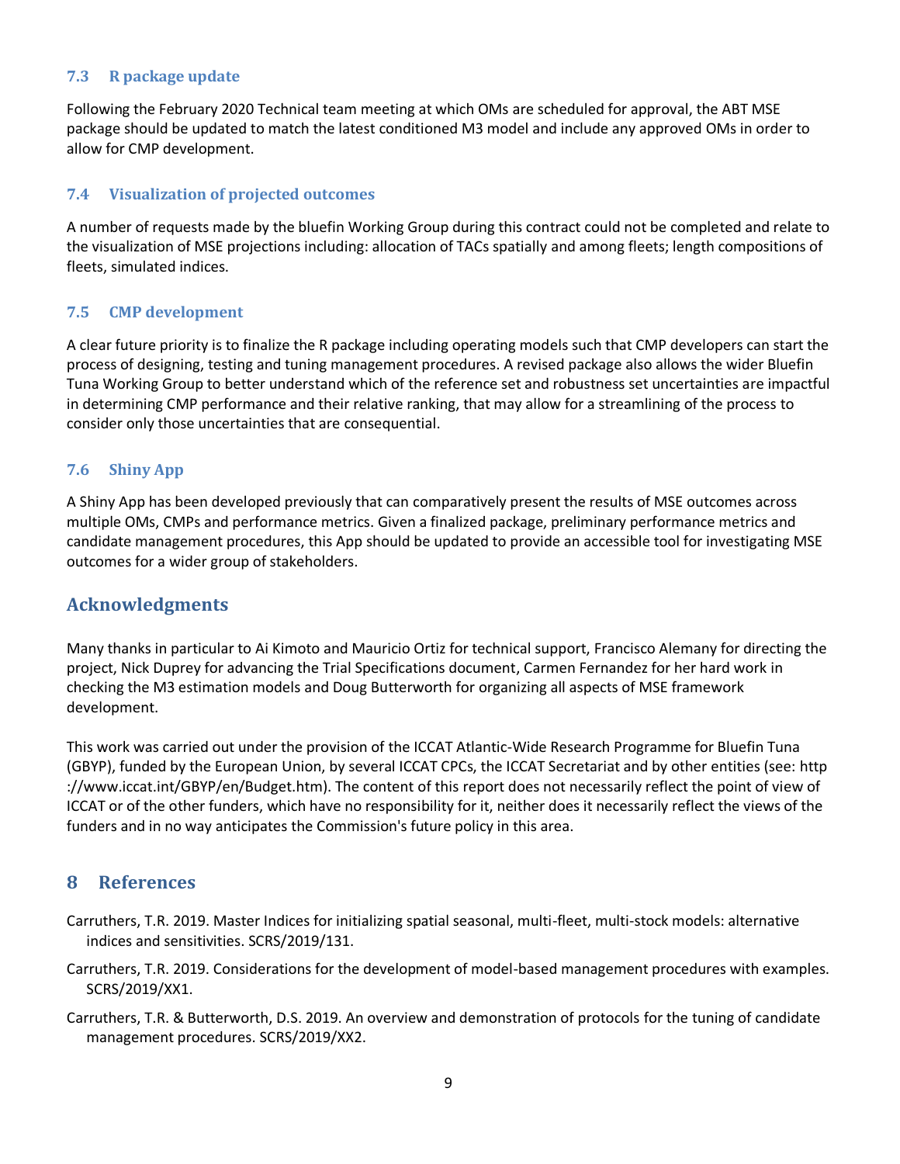## <span id="page-8-0"></span>**7.3 R package update**

Following the February 2020 Technical team meeting at which OMs are scheduled for approval, the ABT MSE package should be updated to match the latest conditioned M3 model and include any approved OMs in order to allow for CMP development.

#### <span id="page-8-1"></span>**7.4 Visualization of projected outcomes**

A number of requests made by the bluefin Working Group during this contract could not be completed and relate to the visualization of MSE projections including: allocation of TACs spatially and among fleets; length compositions of fleets, simulated indices.

#### <span id="page-8-2"></span>**7.5 CMP development**

A clear future priority is to finalize the R package including operating models such that CMP developers can start the process of designing, testing and tuning management procedures. A revised package also allows the wider Bluefin Tuna Working Group to better understand which of the reference set and robustness set uncertainties are impactful in determining CMP performance and their relative ranking, that may allow for a streamlining of the process to consider only those uncertainties that are consequential.

#### <span id="page-8-3"></span>**7.6 Shiny App**

A Shiny App has been developed previously that can comparatively present the results of MSE outcomes across multiple OMs, CMPs and performance metrics. Given a finalized package, preliminary performance metrics and candidate management procedures, this App should be updated to provide an accessible tool for investigating MSE outcomes for a wider group of stakeholders.

## **Acknowledgments**

Many thanks in particular to Ai Kimoto and Mauricio Ortiz for technical support, Francisco Alemany for directing the project, Nick Duprey for advancing the Trial Specifications document, Carmen Fernandez for her hard work in checking the M3 estimation models and Doug Butterworth for organizing all aspects of MSE framework development.

This work was carried out under the provision of the ICCAT Atlantic-Wide Research Programme for Bluefin Tuna (GBYP), funded by the European Union, by several ICCAT CPCs, the ICCAT Secretariat and by other entities (see: http ://www.iccat.int/GBYP/en/Budget.htm). The content of this report does not necessarily reflect the point of view of ICCAT or of the other funders, which have no responsibility for it, neither does it necessarily reflect the views of the funders and in no way anticipates the Commission's future policy in this area.

## <span id="page-8-4"></span>**8 References**

- Carruthers, T.R. 2019. Master Indices for initializing spatial seasonal, multi-fleet, multi-stock models: alternative indices and sensitivities. SCRS/2019/131.
- Carruthers, T.R. 2019. Considerations for the development of model-based management procedures with examples. SCRS/2019/XX1.
- Carruthers, T.R. & Butterworth, D.S. 2019. An overview and demonstration of protocols for the tuning of candidate management procedures. SCRS/2019/XX2.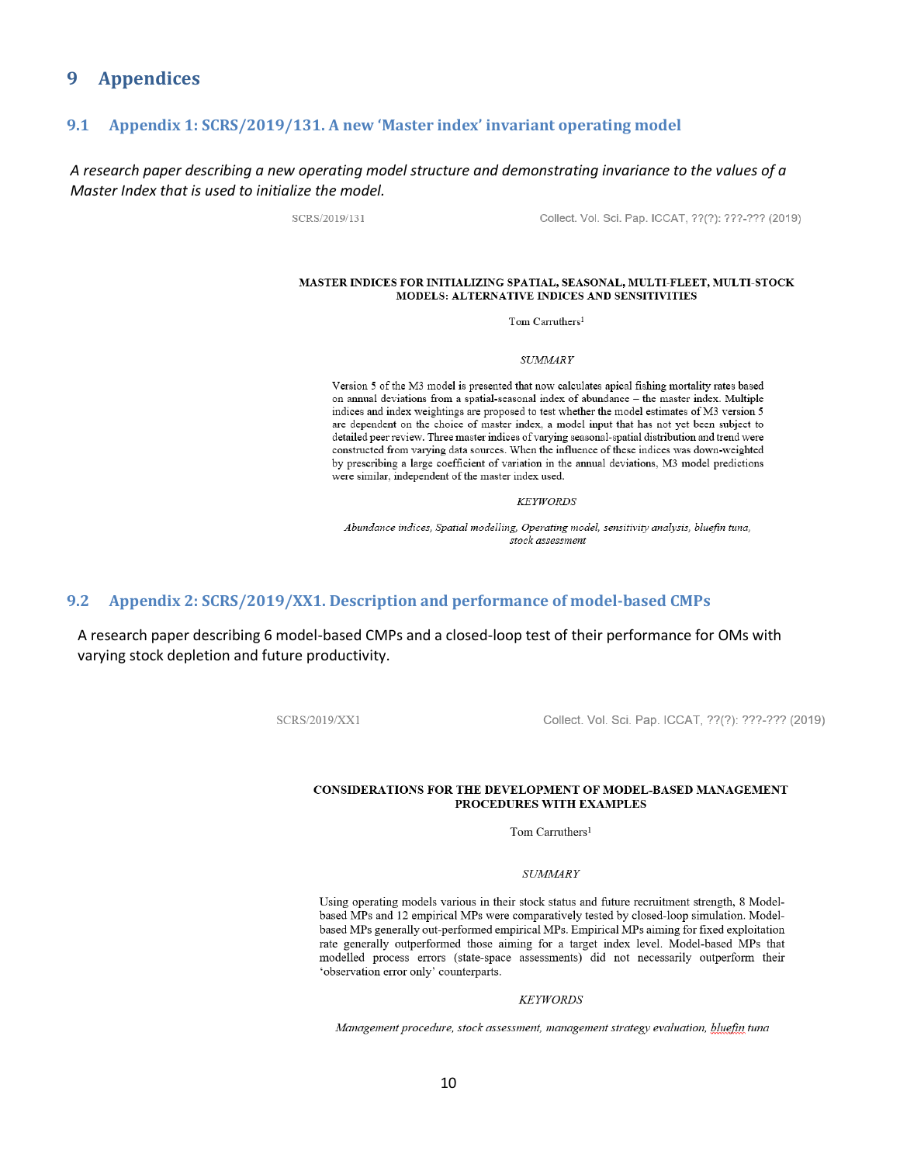### <span id="page-9-1"></span><span id="page-9-0"></span>**9 Appendices**

#### **9.1 Appendix 1: SCRS/2019/131. A new 'Master index' invariant operating model**

#### *A research paper describing a new operating model structure and demonstrating invariance to the values of a Master Index that is used to initialize the model.*

SCRS/2019/131

Collect. Vol. Sci. Pap. ICCAT, ??(?): ???-??? (2019)

#### MASTER INDICES FOR INITIALIZING SPATIAL, SEASONAL, MULTI-FLEET, MULTI-STOCK MODELS: ALTERNATIVE INDICES AND SENSITIVITIES

Tom Carruthers<sup>1</sup>

**SUMMARY** 

Version 5 of the M3 model is presented that now calculates apical fishing mortality rates based on annual deviations from a spatial-seasonal index of abundance - the master index. Multiple indices and index weightings are proposed to test whether the model estimates of M3 version 5 are dependent on the choice of master index, a model input that has not yet been subject to detailed peer review. Three master indices of varying seasonal-spatial distribution and trend were constructed from varying data sources. When the influence of these indices was down-weighted by prescribing a large coefficient of variation in the annual deviations, M3 model predictions were similar, independent of the master index used.

**KEYWORDS** 

Abundance indices, Spatial modelling, Operating model, sensitivity analysis, bluefin tuna, stock assessment

#### <span id="page-9-2"></span>**9.2 Appendix 2: SCRS/2019/XX1. Description and performance of model-based CMPs**

A research paper describing 6 model-based CMPs and a closed-loop test of their performance for OMs with varying stock depletion and future productivity.

SCRS/2019/XX1

Collect. Vol. Sci. Pap. ICCAT, ??(?): ???-??? (2019)

#### CONSIDERATIONS FOR THE DEVELOPMENT OF MODEL-BASED MANAGEMENT PROCEDURES WITH EXAMPLES

Tom Carruthers<sup>1</sup>

#### **SUMMARY**

Using operating models various in their stock status and future recruitment strength, 8 Modelbased MPs and 12 empirical MPs were comparatively tested by closed-loop simulation. Modelbased MPs generally out-performed empirical MPs. Empirical MPs aiming for fixed exploitation rate generally outperformed those aiming for a target index level. Model-based MPs that modelled process errors (state-space assessments) did not necessarily outperform their 'observation error only' counterparts.

**KEYWORDS** 

Management procedure, stock assessment, management strategy evaluation, bluefin tuna